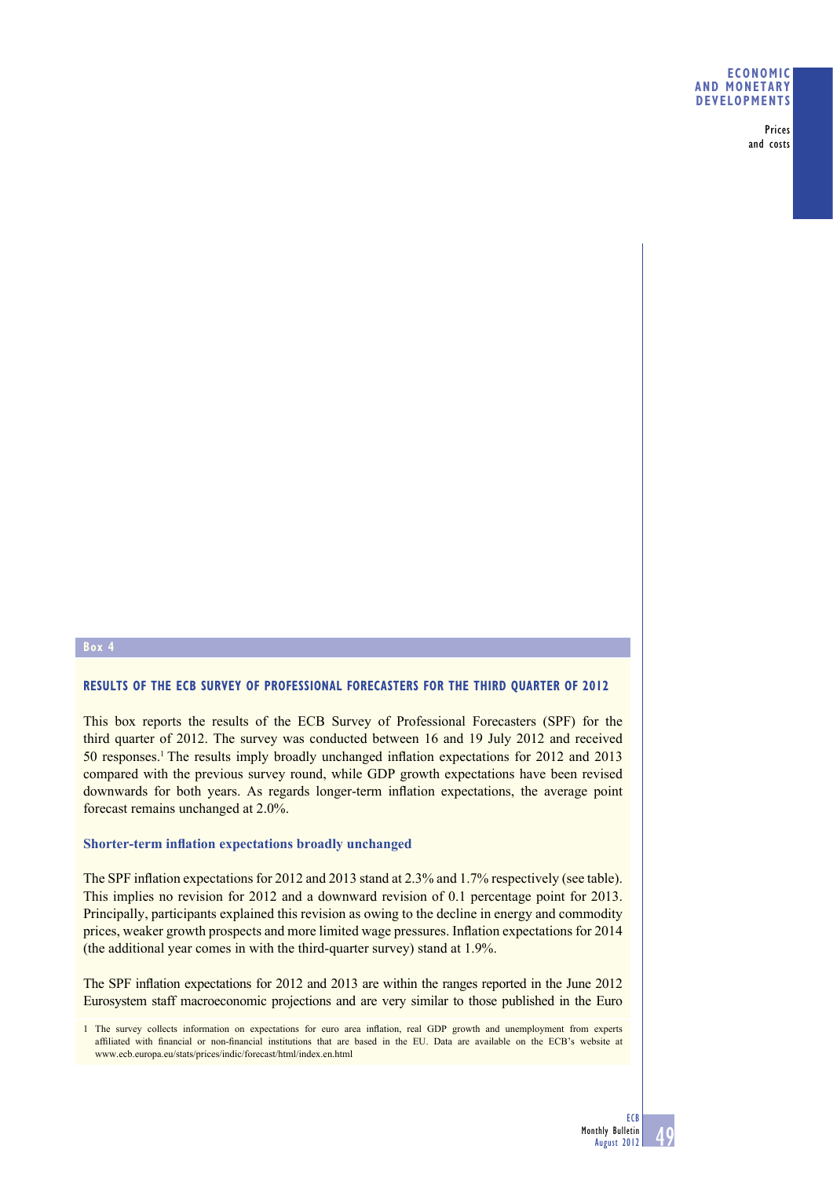#### **ECONOMIC AND MONETARY DEVELOPMENTS**

Prices and costs

# **Box 4**

# **RESULTS OF THE ECB SURVEY OF PROFESSIONAL FORECASTERS FOR THE THIRD QUARTER OF 2012**

This box reports the results of the ECB Survey of Professional Forecasters (SPF) for the third quarter of 2012. The survey was conducted between 16 and 19 July 2012 and received 50 responses.<sup>1</sup> The results imply broadly unchanged inflation expectations for 2012 and 2013 compared with the previous survey round, while GDP growth expectations have been revised downwards for both years. As regards longer-term inflation expectations, the average point forecast remains unchanged at 2.0%.

#### **Shorter-term inflation expectations broadly unchanged**

The SPF inflation expectations for 2012 and 2013 stand at 2.3% and 1.7% respectively (see table). This implies no revision for 2012 and a downward revision of 0.1 percentage point for 2013. Principally, participants explained this revision as owing to the decline in energy and commodity prices, weaker growth prospects and more limited wage pressures. Inflation expectations for 2014 (the additional year comes in with the third-quarter survey) stand at 1.9%.

The SPF inflation expectations for 2012 and 2013 are within the ranges reported in the June 2012 Eurosystem staff macroeconomic projections and are very similar to those published in the Euro

<sup>1</sup> The survey collects information on expectations for euro area inflation, real GDP growth and unemployment from experts affiliated with financial or non-financial institutions that are based in the EU. Data are available on the ECB's website at www.ecb.europa.eu/stats/prices/indic/forecast/html/index.en.html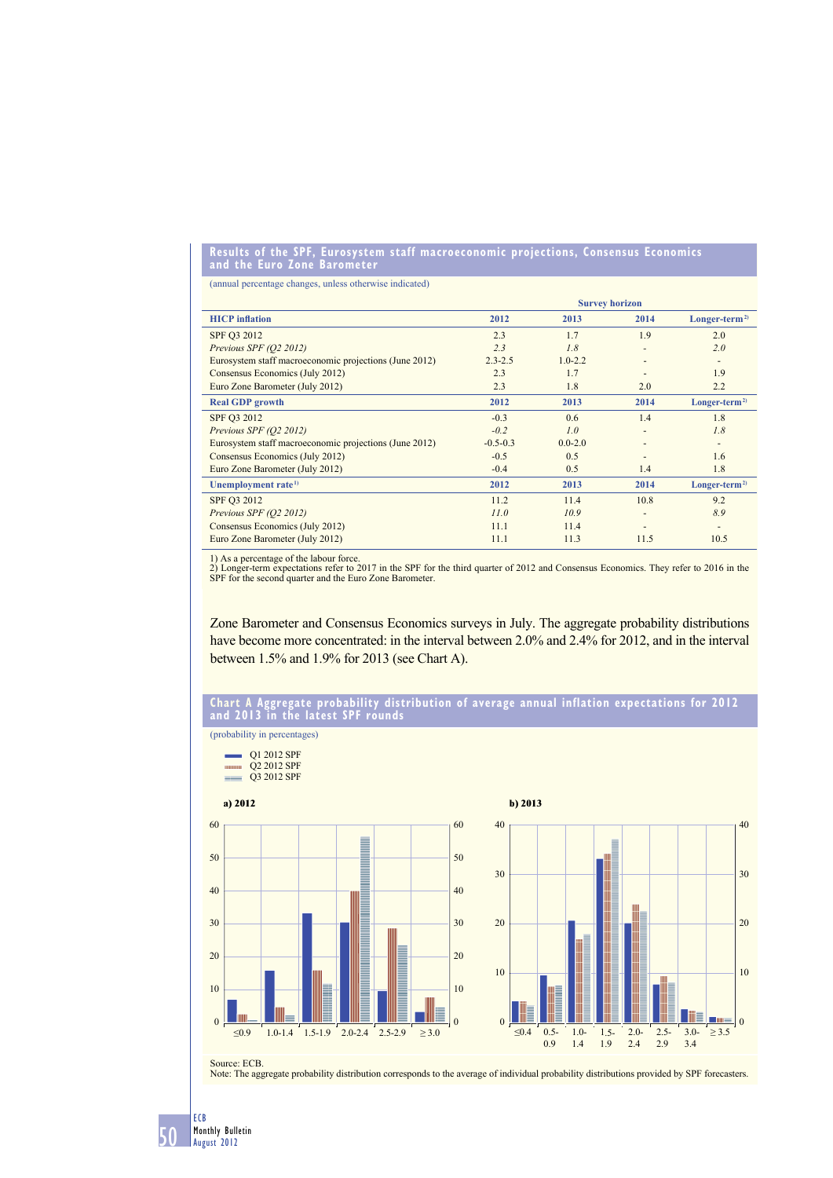#### **Results of the SPF, Eurosystem staff macroeconomic projections, Consensus Economics and the Euro Zone Barometer**

(annual percentage changes, unless otherwise indicated)

|                                                        | <b>Survey horizon</b> |             |                          |                |
|--------------------------------------------------------|-----------------------|-------------|--------------------------|----------------|
| <b>HICP</b> inflation                                  | 2012                  | 2013        | 2014                     | $Longer-term2$ |
| SPF 03 2012                                            | 2.3                   | 1.7         | 1.9                      | 2.0            |
| Previous SPF (Q2 2012)                                 | 2.3                   | 1.8         |                          | 2.0            |
| Eurosystem staff macroeconomic projections (June 2012) | $2.3 - 2.5$           | $1.0 - 2.2$ |                          |                |
| Consensus Economics (July 2012)                        | 2.3                   | 1.7         |                          | 1.9            |
| Euro Zone Barometer (July 2012)                        | 2.3                   | 1.8         | 2.0                      | 2.2            |
| <b>Real GDP</b> growth                                 | 2012                  | 2013        | 2014                     | $Longer-term2$ |
| SPF O3 2012                                            | $-0.3$                | 0.6         | 1.4                      | 1.8            |
| Previous SPF (Q2 2012)                                 | $-0.2$                | 1.0         |                          | 1.8            |
| Eurosystem staff macroeconomic projections (June 2012) | $-0.5 - 0.3$          | $0.0 - 2.0$ |                          |                |
| Consensus Economics (July 2012)                        | $-0.5$                | 0.5         |                          | 1.6            |
| Euro Zone Barometer (July 2012)                        | $-0.4$                | 0.5         | 1.4                      | 1.8            |
| Unemployment rate <sup>1)</sup>                        | 2012                  | 2013        | 2014                     | $Longer-term2$ |
| SPF Q3 2012                                            | 11.2                  | 11.4        | 10.8                     | 9.2            |
| Previous SPF (Q2 2012)                                 | 11.0                  | 10.9        | $\overline{\phantom{a}}$ | 8.9            |
| Consensus Economics (July 2012)                        | 11.1                  | 11.4        |                          |                |
| Euro Zone Barometer (July 2012)                        | 11.1                  | 11.3        | 11.5                     | 10.5           |

1) As a percentage of the labour force.

2) Longer-term expectations refer to 2017 in the SPF for the third quarter of 2012 and Consensus Economics. They refer to 2016 in the SPF for the second quarter and the Euro Zone Barometer.

Zone Barometer and Consensus Economics surveys in July. The aggregate probability distributions have become more concentrated: in the interval between 2.0% and 2.4% for 2012, and in the interval between 1.5% and 1.9% for 2013 (see Chart A).

#### **Chart A Aggregate probability distribution of average annual inflation expectations for 2012 and 2013 in the latest SPF rounds**

(probability in percentages)

 $Q1 2012$  SPF **WILLE Q2 2012 SPF**  $\frac{1}{\sqrt{2}}$  2012 SPF  $\equiv$ 



Source: ECB. Note: The aggregate probability distribution corresponds to the average of individual probability distributions provided by SPF forecasters.

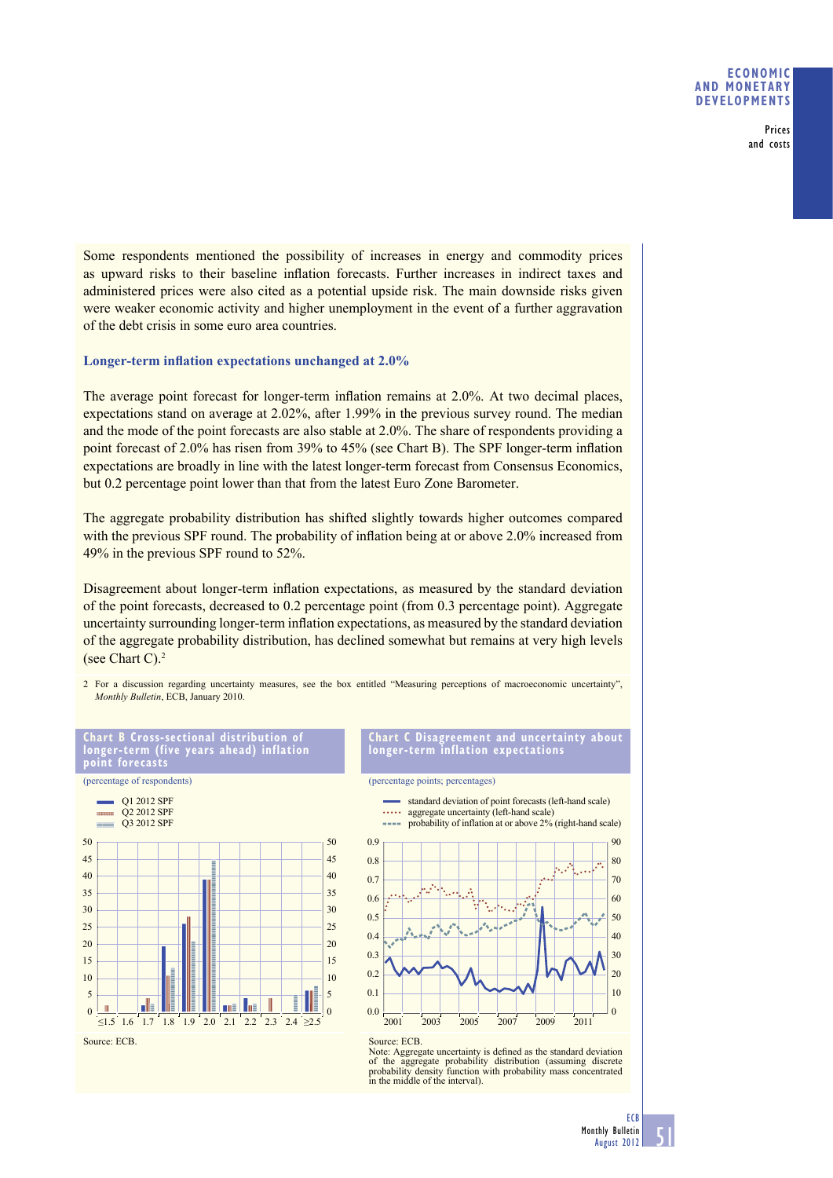### **ECONOMIC AND MONETARY DEVELOPMENTS**

Prices and costs

Some respondents mentioned the possibility of increases in energy and commodity prices as upward risks to their baseline inflation forecasts. Further increases in indirect taxes and administered prices were also cited as a potential upside risk. The main downside risks given were weaker economic activity and higher unemployment in the event of a further aggravation of the debt crisis in some euro area countries.

#### **Longer-term inflation expectations unchanged at 2.0%**

The average point forecast for longer-term inflation remains at 2.0%. At two decimal places, expectations stand on average at 2.02%, after 1.99% in the previous survey round. The median and the mode of the point forecasts are also stable at 2.0%. The share of respondents providing a point forecast of 2.0% has risen from 39% to 45% (see Chart B). The SPF longer-term inflation expectations are broadly in line with the latest longer-term forecast from Consensus Economics, but 0.2 percentage point lower than that from the latest Euro Zone Barometer.

The aggregate probability distribution has shifted slightly towards higher outcomes compared with the previous SPF round. The probability of inflation being at or above 2.0% increased from 49% in the previous SPF round to 52%.

Disagreement about longer-term inflation expectations, as measured by the standard deviation of the point forecasts, decreased to 0.2 percentage point (from 0.3 percentage point). Aggregate uncertainty surrounding longer-term inflation expectations, as measured by the standard deviation of the aggregate probability distribution, has declined somewhat but remains at very high levels (see Chart C).2

2 For a discussion regarding uncertainty measures, see the box entitled "Measuring perceptions of macroeconomic uncertainty", *Monthly Bulletin*, ECB, January 2010.



**Chart C Disagreement and uncertainty about longer-term inflation expectations**



Note: Aggregate uncertainty is defined as the standard deviation of the aggregate probability distribution (assuming discrete probability density function with probability mass concentrated in the middle of the interval).

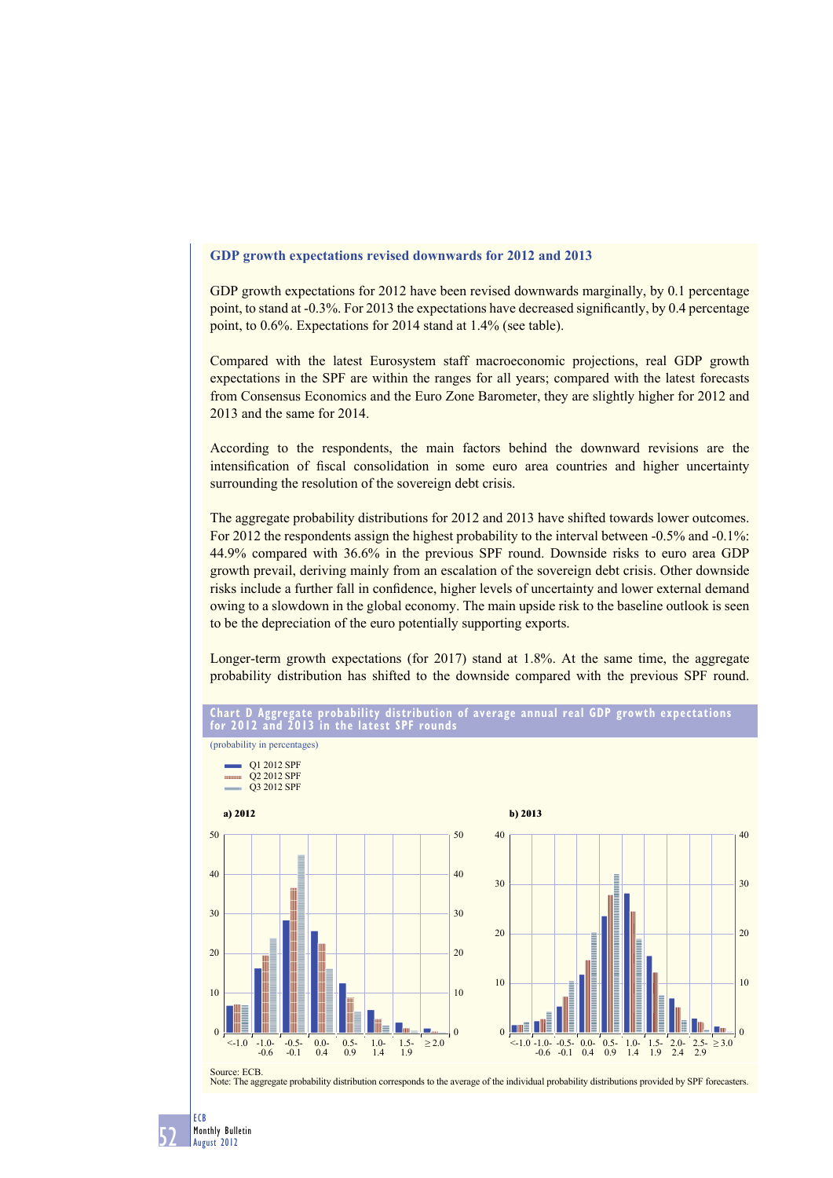# **GDP growth expectations revised downwards for 2012 and 2013**

GDP growth expectations for 2012 have been revised downwards marginally, by 0.1 percentage point, to stand at -0.3%. For 2013 the expectations have decreased significantly, by 0.4 percentage point, to 0.6%. Expectations for 2014 stand at 1.4% (see table).

Compared with the latest Eurosystem staff macroeconomic projections, real GDP growth expectations in the SPF are within the ranges for all years; compared with the latest forecasts from Consensus Economics and the Euro Zone Barometer, they are slightly higher for 2012 and 2013 and the same for 2014.

According to the respondents, the main factors behind the downward revisions are the intensification of fiscal consolidation in some euro area countries and higher uncertainty surrounding the resolution of the sovereign debt crisis.

The aggregate probability distributions for 2012 and 2013 have shifted towards lower outcomes. For 2012 the respondents assign the highest probability to the interval between -0.5% and -0.1%: 44.9% compared with 36.6% in the previous SPF round. Downside risks to euro area GDP growth prevail, deriving mainly from an escalation of the sovereign debt crisis. Other downside risks include a further fall in confidence, higher levels of uncertainty and lower external demand owing to a slowdown in the global economy. The main upside risk to the baseline outlook is seen to be the depreciation of the euro potentially supporting exports.

Longer-term growth expectations (for 2017) stand at 1.8%. At the same time, the aggregate probability distribution has shifted to the downside compared with the previous SPF round.



# **Chart D Aggregate probability distribution of average annual real GDP growth expectations**

ECB